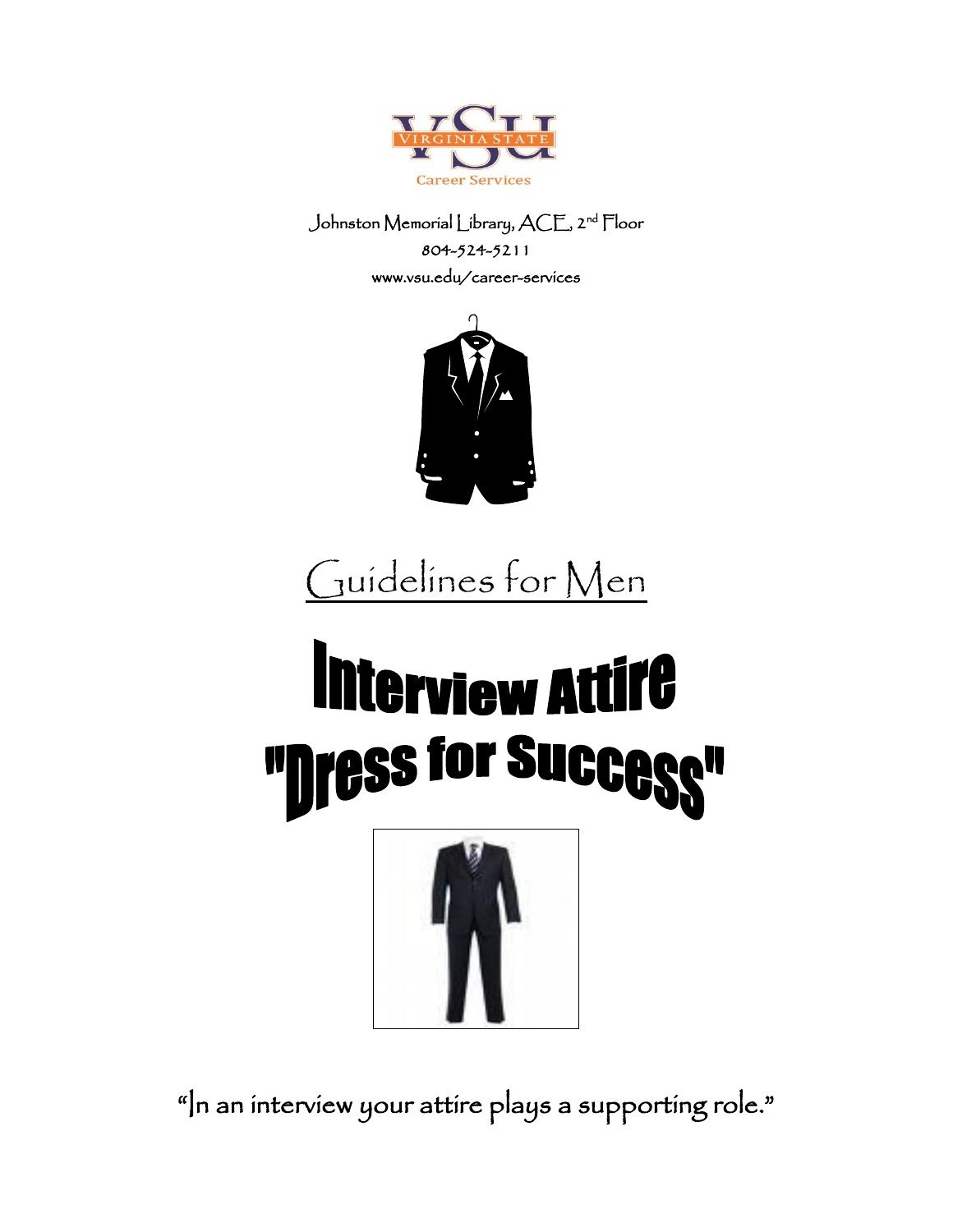

Johnston Memorial Library, ACE, 2nd Floor 804-524-5211 www.vsu.edu/career-services



# Guidelines for Men

## Interview Attife "Dress for Succes N



"In an interview your attire plays a supporting role."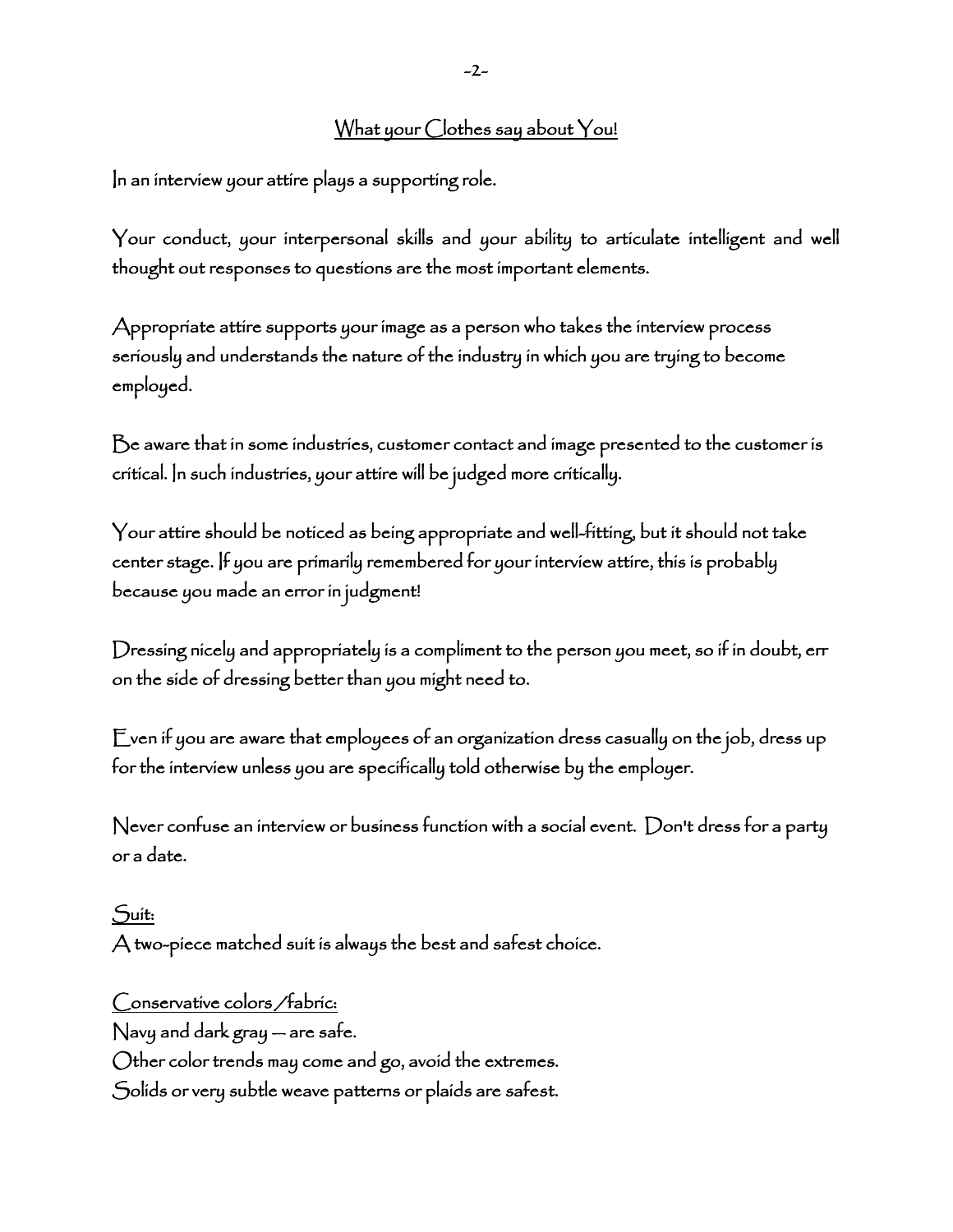## What your Clothes say about You!

In an interview your attire plays a supporting role.

Your conduct, your interpersonal skills and your ability to articulate intelligent and well thought out responses to questions are the most important elements.

Appropriate attire supports your image as a person who takes the interview process seriously and understands the nature of the industry in which you are trying to become employed.

Be aware that in some industries, customer contact and image presented to the customer is critical. In such industries, your attire will be judged more critically.

Your attire should be noticed as being appropriate and well-fitting, but it should not take center stage. If you are primarily remembered for your interview attire, this is probably because you made an error in judgment!

Dressing nicely and appropriately is a compliment to the person you meet, so if in doubt, err on the side of dressing better than you might need to.

Even if you are aware that employees of an organization dress casually on the job, dress up for the interview unless you are specifically told otherwise by the employer.

Never confuse an interview or business function with a social event. Don't dress for a party or a date.

#### Suit:

A two-piece matched suit is always the best and safest choice.

Conservative colors /fabric: Navy and dark gray — are safe. Other color trends may come and go, avoid the extremes. Solids or very subtle weave patterns or plaids are safest.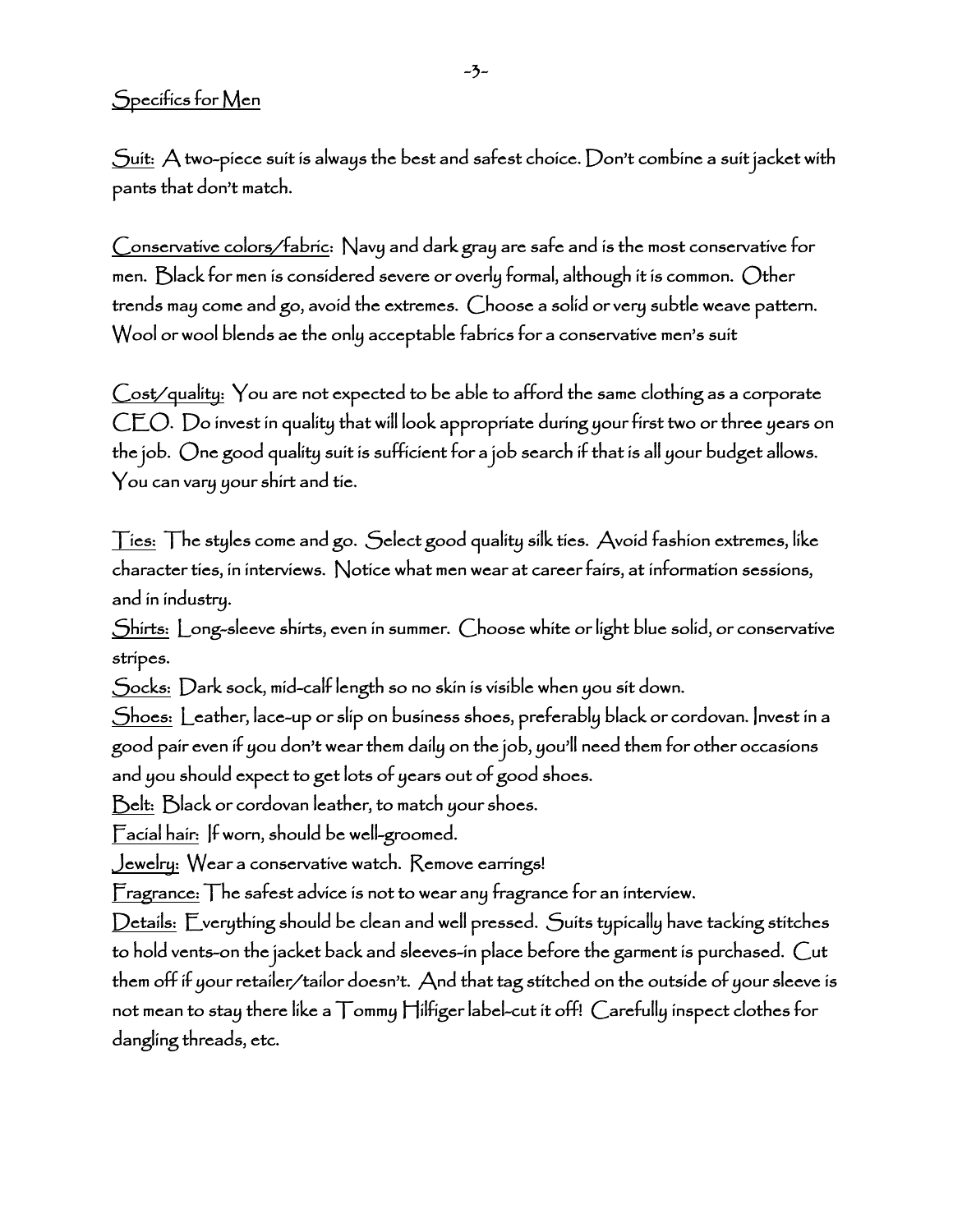## Specifics for Men

 $S$ uit:  $A$  two-piece suit is always the best and safest choice. Don't combine a suit jacket with pants that don't match.

Conservative colors/fabric: Navy and dark gray are safe and is the most conservative for men. Black for men is considered severe or overly formal, although it is common. Other trends may come and go, avoid the extremes. Choose a solid or very subtle weave pattern. Wool or wool blends ae the only acceptable fabrics for a conservative men's suit

Cost/quality: You are not expected to be able to afford the same clothing as a corporate CEO. Do invest in quality that will look appropriate during your first two or three years on the job. One good quality suit is sufficient for a job search if that is all your budget allows. You can vary your shirt and tie.

Ties: The styles come and go. Select good quality silk ties. Avoid fashion extremes, like character ties, in interviews. Notice what men wear at career fairs, at information sessions, and in industry.

Shirts: Long-sleeve shirts, even in summer. Choose white or light blue solid, or conservative stripes.

Socks: Dark sock, mid-calf length so no skin is visible when you sit down.

Shoes: Leather, lace-up or slip on business shoes, preferably black or cordovan. Invest in a good pair even if you don't wear them daily on the job, you'll need them for other occasions and you should expect to get lots of years out of good shoes.

Belt: Black or cordovan leather, to match your shoes.

Facial hair: If worn, should be well-groomed.

Jewelry: Wear a conservative watch. Remove earrings!

Fragrance: The safest advice is not to wear any fragrance for an interview.

Details: Everything should be clean and well pressed. Suits typically have tacking stitches to hold vents-on the jacket back and sleeves-in place before the garment is purchased. Cut them off if your retailer/tailor doesn't. And that tag stitched on the outside of your sleeve is not mean to stay there like a Tommy Hilfiger label-cut it off! Carefully inspect clothes for dangling threads, etc.